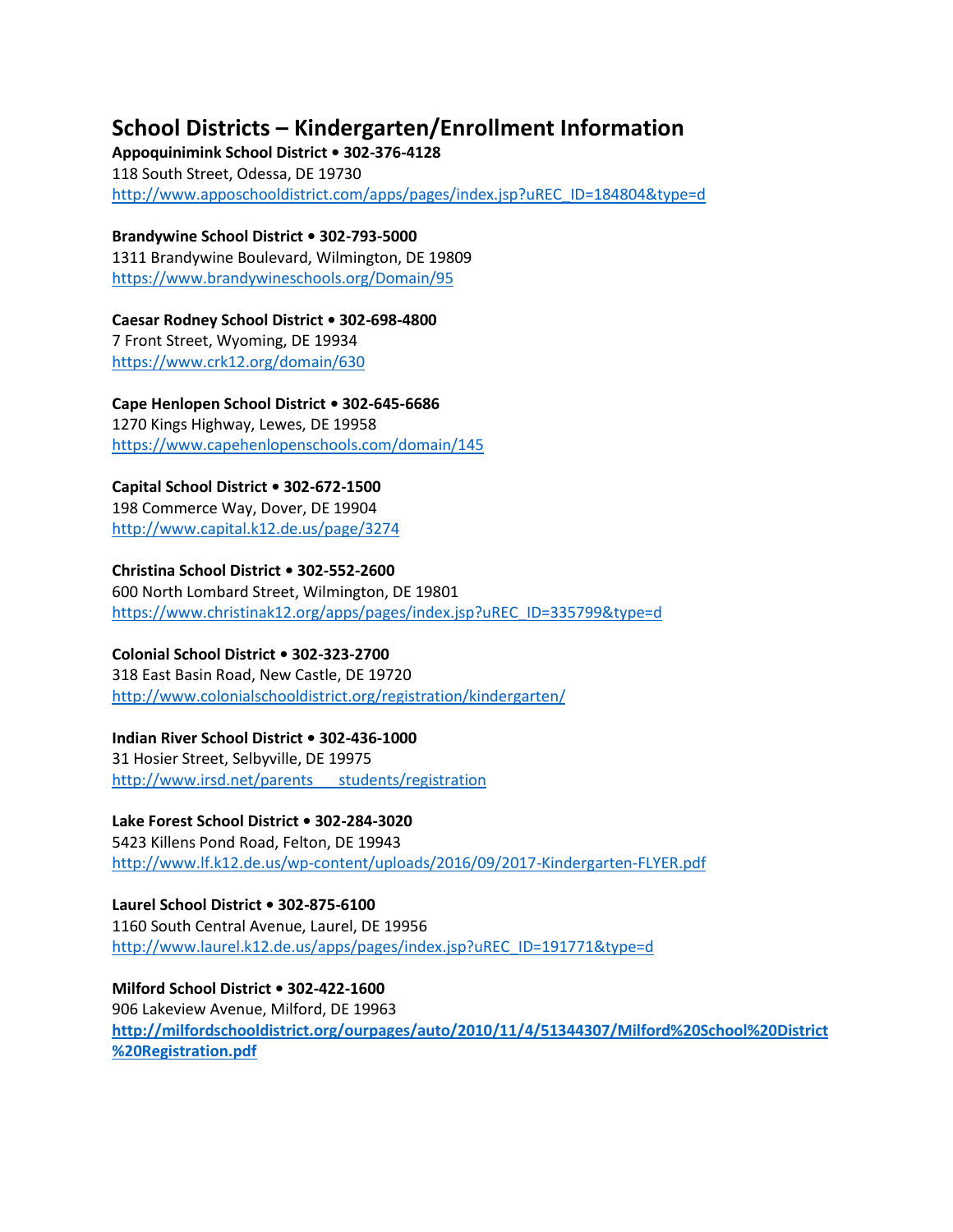# **School Districts – Kindergarten/Enrollment Information**

**Appoquinimink School District • 302-376-4128**  118 South Street, Odessa, DE 19730 [http://www.apposchooldistrict.com/apps/pages/index.jsp?uREC\\_ID=184804&type=d](http://www.apposchooldistrict.com/apps/pages/index.jsp?uREC_ID=184804&type=d)

**Brandywine School District • 302-793-5000**  1311 Brandywine Boulevard, Wilmington, DE 19809 <https://www.brandywineschools.org/Domain/95>

**Caesar Rodney School District • 302-698-4800**  7 Front Street, Wyoming, DE 19934 <https://www.crk12.org/domain/630>

**Cape Henlopen School District • 302-645-6686**  1270 Kings Highway, Lewes, DE 19958 <https://www.capehenlopenschools.com/domain/145>

# **Capital School District • 302-672-1500**

198 Commerce Way, Dover, DE 19904 <http://www.capital.k12.de.us/page/3274>

### **Christina School District • 302-552-2600**

600 North Lombard Street, Wilmington, DE 19801 [https://www.christinak12.org/apps/pages/index.jsp?uREC\\_ID=335799&type=d](https://www.christinak12.org/apps/pages/index.jsp?uREC_ID=335799&type=d)

## **Colonial School District • 302-323-2700**

318 East Basin Road, New Castle, DE 19720 <http://www.colonialschooldistrict.org/registration/kindergarten/>

### **Indian River School District • 302-436-1000**

31 Hosier Street, Selbyville, DE 19975 http://www.irsd.net/parents\_\_\_\_students/registration

## **Lake Forest School District • 302-284-3020**

5423 Killens Pond Road, Felton, DE 19943 <http://www.lf.k12.de.us/wp-content/uploads/2016/09/2017-Kindergarten-FLYER.pdf>

**Laurel School District • 302-875-6100**  1160 South Central Avenue, Laurel, DE 19956 [http://www.laurel.k12.de.us/apps/pages/index.jsp?uREC\\_ID=191771&type=d](http://www.laurel.k12.de.us/apps/pages/index.jsp?uREC_ID=191771&type=d)

**Milford School District • 302-422-1600**  906 Lakeview Avenue, Milford, DE 19963 **[http://milfordschooldistrict.org/ourpages/auto/2010/11/4/51344307/Milford%20School%20District](http://milfordschooldistrict.org/ourpages/auto/2010/11/4/51344307/Milford%20School%20District%20Registration.pdf) [%20Registration.pdf](http://milfordschooldistrict.org/ourpages/auto/2010/11/4/51344307/Milford%20School%20District%20Registration.pdf)**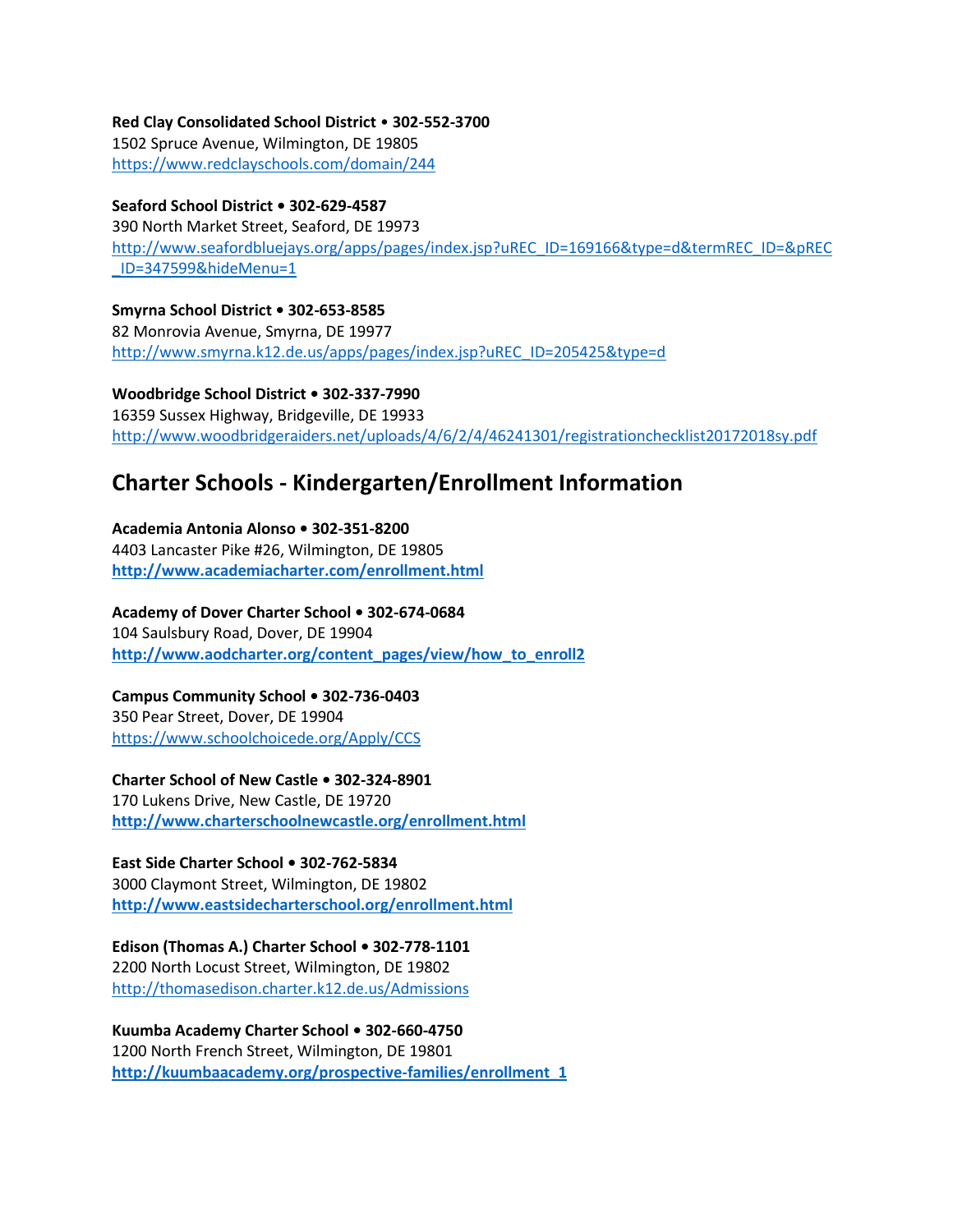**Red Clay Consolidated School District** • **302-552-3700**  1502 Spruce Avenue, Wilmington, DE 19805

<https://www.redclayschools.com/domain/244>

# **Seaford School District • 302-629-4587**

390 North Market Street, Seaford, DE 19973 [http://www.seafordbluejays.org/apps/pages/index.jsp?uREC\\_ID=169166&type=d&termREC\\_ID=&pREC](http://www.seafordbluejays.org/apps/pages/index.jsp?uREC_ID=169166&type=d&termREC_ID=&pREC_ID=347599&hideMenu=1) [\\_ID=347599&hideMenu=1](http://www.seafordbluejays.org/apps/pages/index.jsp?uREC_ID=169166&type=d&termREC_ID=&pREC_ID=347599&hideMenu=1)

**Smyrna School District • 302-653-8585**  82 Monrovia Avenue, Smyrna, DE 19977 [http://www.smyrna.k12.de.us/apps/pages/index.jsp?uREC\\_ID=205425&type=d](http://www.smyrna.k12.de.us/apps/pages/index.jsp?uREC_ID=205425&type=d)

**Woodbridge School District • 302-337-7990**  16359 Sussex Highway, Bridgeville, DE 19933 <http://www.woodbridgeraiders.net/uploads/4/6/2/4/46241301/registrationchecklist20172018sy.pdf>

# **Charter Schools - Kindergarten/Enrollment Information**

**Academia Antonia Alonso • 302-351-8200**  4403 Lancaster Pike #26, Wilmington, DE 19805 **<http://www.academiacharter.com/enrollment.html>**

**Academy of Dover Charter School • 302-674-0684**  104 Saulsbury Road, Dover, DE 19904 **[http://www.aodcharter.org/content\\_pages/view/how\\_to\\_enroll2](http://www.aodcharter.org/content_pages/view/how_to_enroll2)**

#### **Campus Community School • 302-736-0403**  350 Pear Street, Dover, DE 19904

<https://www.schoolchoicede.org/Apply/CCS>

**Charter School of New Castle • 302-324-8901** 

170 Lukens Drive, New Castle, DE 19720 **<http://www.charterschoolnewcastle.org/enrollment.html>**

# **East Side Charter School • 302-762-5834**

3000 Claymont Street, Wilmington, DE 19802 **<http://www.eastsidecharterschool.org/enrollment.html>**

# **Edison (Thomas A.) Charter School • 302-778-1101**

2200 North Locust Street, Wilmington, DE 19802 <http://thomasedison.charter.k12.de.us/Admissions>

**Kuumba Academy Charter School • 302-660-4750**  1200 North French Street, Wilmington, DE 19801 **[http://kuumbaacademy.org/prospective-families/enrollment\\_1](http://kuumbaacademy.org/prospective-families/enrollment_1)**